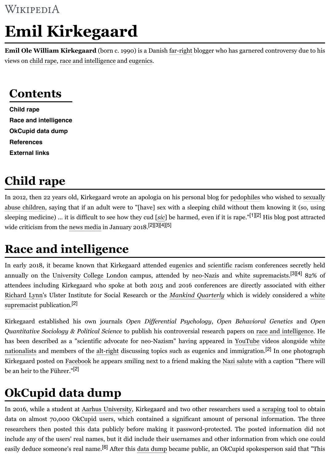#### **Contents**

**Child rape Race and intelligence OkCupid data dump References Extern[al links](https://en.wikipedia.org/wiki/Child_molestation)**

# **Child rape**

I[n 2012, then](#page-0-0) 22 years old, Kirkegaard wrote an apologia on his personal blog for pedophiles who wished to sexually a[buse children, saying th](#page-0-1)at if an adult were to "[have] sex with a sleeping child without them knowing sl[eeping medicine\) ... it](#page-0-2) is difficult to see how they cud [sic] be harmed, even if it is rape."[1][2] His blog p w[ide criticism](#page-1-0) from the news media in January 2018.[2][3][4][5]

## **[Race an](#page-1-1)d intelligence**

<span id="page-0-0"></span>In early 2018, it became known that Kirkegaard attended eugenics and scientific racism conferences annually on the University College London campus, attended by neo-Nazis and white supremacists. [attendees including Kirkegaard who spoke at both 2015 and 2016 conferences a](https://en.wikipedia.org/wiki/Child_sexual_abuse)[re directl](https://en.wikipedia.org/wiki/Pedophiles)y associated Richard Lynn's Ulster Institute for Social Research or the *Mankind Quarterly* which is widely considered a white supremacist publication.<sup>[2]</sup>

<span id="page-0-1"></span>Kirkegaard establishe[d his own j](https://en.wikipedia.org/wiki/News_media)ournals *Open Differential Psychology*, *Open Behavioral Genetics Quantitative Sociology & Political Science* to publish his controversial research papers on race and intellect has been described as a "scientific advocate for neo-Nazism" having appeared in YouTube videos alc nationalists and members of the alt-right discussing topics [such as e](https://en.wikipedia.org/wiki/Eugenics)uge[nics and immigra](https://en.wikipedia.org/wiki/Scientific_racism)tion.<sup>[2]</sup> In one Kirkegaard poste[d on Facebook he appears sm](https://en.wikipedia.org/wiki/University_College_London)iling next to a friend [making the](https://en.wikipedia.org/wiki/Neo-Nazis) Nazi salute with a captic be an heir to the Führer."[2]

### **[OkCupid data dump](https://en.wikipedia.org/wiki/White_supremacist)**

<span id="page-0-2"></span>In 2016, while a student at Aarhus University, Kirkegaard and two other researchers used a scraping t data on almost 70,000 OkCupid users, which contained a significant amount of personal information. [researchers then posted this data publicly before making it password-protected.](https://en.wikipedia.org/wiki/White_nationalists) [The pos](https://en.wikipedia.org/wiki/YouTube)[ted information did not](https://en.wikipedia.org/wiki/White_nationalists) include any of the users' real na[mes, but i](https://en.wikipedia.org/wiki/Alt-right)t did include their usernames and other information [fro](#page-1-4)m which easily deduce someon[e's real na](https://en.wikipedia.org/wiki/Facebook)me.<sup>[6]</sup> After this data dump became public, an [OkCupid spo](https://en.wikipedia.org/wiki/Nazi_salute)kesperson said that "Th